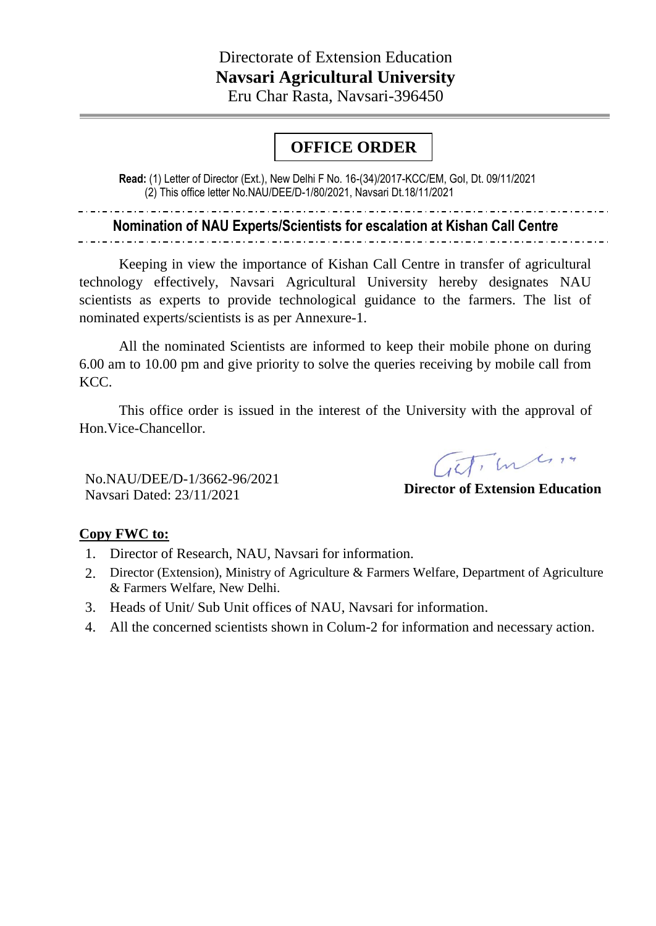## **OFFICE ORDER**

**Read:** (1) Letter of Director (Ext.), New Delhi F No. 16-(34)/2017-KCC/EM, GoI, Dt. 09/11/2021 **oooooOOOOoORD** (2) This office letter No.NAU/DEE/D-1/80/2021, Navsari Dt.18/11/2021 **ER**

**Nomination of NAU Experts/Scientists for escalation at Kishan Call Centre**

Keeping in view the importance of Kishan Call Centre in transfer of agricultural technology effectively, Navsari Agricultural University hereby designates NAU scientists as experts to provide technological guidance to the farmers. The list of nominated experts/scientists is as per Annexure-1.

All the nominated Scientists are informed to keep their mobile phone on during 6.00 am to 10.00 pm and give priority to solve the queries receiving by mobile call from KCC.

This office order is issued in the interest of the University with the approval of Hon.Vice-Chancellor.

No.NAU/DEE/D-1/3662-96/2021 Navsari Dated: 23/11/2021

ITI m 4 14

**Director of Extension Education**

## **Copy FWC to:**

- 1. Director of Research, NAU, Navsari for information.
- 2. Director (Extension), Ministry of Agriculture & Farmers Welfare, Department of Agriculture & Farmers Welfare, New Delhi.
- 3. Heads of Unit/ Sub Unit offices of NAU, Navsari for information.
- 4. All the concerned scientists shown in Colum-2 for information and necessary action.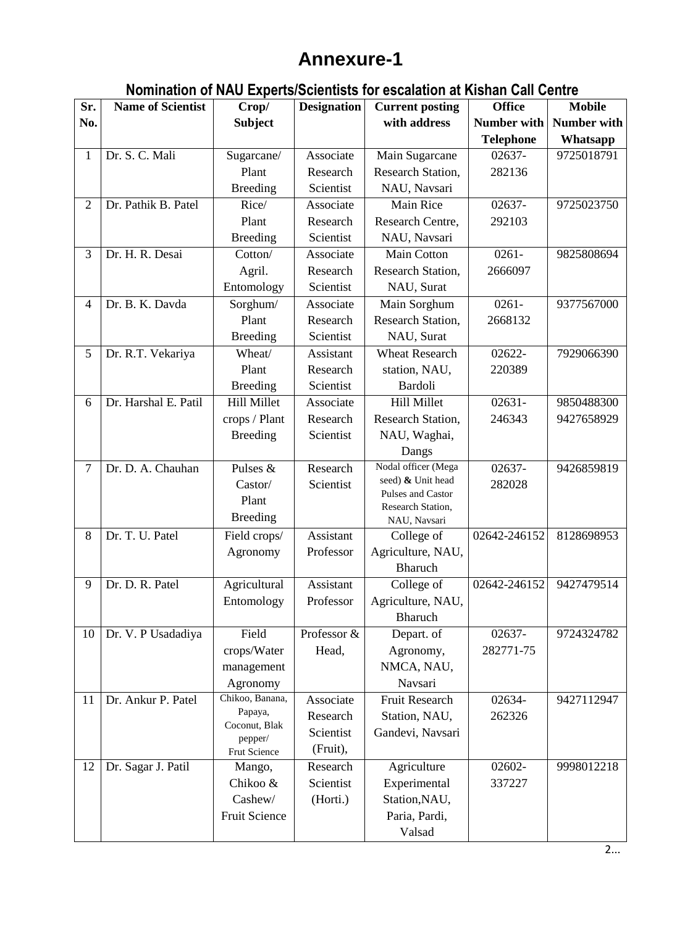## **Annexure-1**

## **Nomination of NAU Experts/Scientists for escalation at Kishan Call Centre**

| Sr.            | <b>Name of Scientist</b> | Crop/                    | <b>Designation</b> | <b>Current posting</b>                 | <b>Office</b>      | <b>Mobile</b> |
|----------------|--------------------------|--------------------------|--------------------|----------------------------------------|--------------------|---------------|
| No.            |                          | <b>Subject</b>           |                    | with address                           | <b>Number with</b> | Number with   |
|                |                          |                          |                    |                                        | <b>Telephone</b>   | Whatsapp      |
| 1              | Dr. S. C. Mali           | Sugarcane/               | Associate          | Main Sugarcane                         | $02637 -$          | 9725018791    |
|                |                          | Plant                    | Research           | Research Station,                      | 282136             |               |
|                |                          | <b>Breeding</b>          | Scientist          | NAU, Navsari                           |                    |               |
| $\overline{2}$ | Dr. Pathik B. Patel      | Rice/                    | Associate          | Main Rice                              | 02637-             | 9725023750    |
|                |                          | Plant                    | Research           | Research Centre,                       | 292103             |               |
|                |                          | <b>Breeding</b>          | Scientist          | NAU, Navsari                           |                    |               |
| 3              | Dr. H. R. Desai          | Cotton/                  | Associate          | <b>Main Cotton</b>                     | $0261 -$           | 9825808694    |
|                |                          | Agril.                   | Research           | Research Station,                      | 2666097            |               |
|                |                          | Entomology               | Scientist          | NAU, Surat                             |                    |               |
| $\overline{4}$ | Dr. B. K. Davda          | Sorghum/                 | Associate          | Main Sorghum                           | $0261 -$           | 9377567000    |
|                |                          | Plant                    | Research           | Research Station,                      | 2668132            |               |
|                |                          | <b>Breeding</b>          | Scientist          | NAU, Surat                             |                    |               |
| 5              | Dr. R.T. Vekariya        | Wheat/                   | Assistant          | <b>Wheat Research</b>                  | 02622-             | 7929066390    |
|                |                          | Plant                    | Research           | station, NAU,                          | 220389             |               |
|                |                          | <b>Breeding</b>          | Scientist          | Bardoli                                |                    |               |
| 6              | Dr. Harshal E. Patil     | <b>Hill Millet</b>       | Associate          | <b>Hill Millet</b>                     | $02631 -$          | 9850488300    |
|                |                          | crops / Plant            | Research           | Research Station,                      | 246343             | 9427658929    |
|                |                          | <b>Breeding</b>          | Scientist          | NAU, Waghai,                           |                    |               |
|                |                          |                          |                    | Dangs                                  |                    |               |
| $\overline{7}$ | Dr. D. A. Chauhan        | Pulses $&$               | Research           | Nodal officer (Mega                    | 02637-             | 9426859819    |
|                |                          | Castor/                  | Scientist          | seed) & Unit head                      | 282028             |               |
|                |                          | Plant                    |                    | Pulses and Castor<br>Research Station, |                    |               |
|                |                          | <b>Breeding</b>          |                    | NAU, Navsari                           |                    |               |
| 8              | Dr. T. U. Patel          | Field crops/             | Assistant          | College of                             | 02642-246152       | 8128698953    |
|                |                          | Agronomy                 | Professor          | Agriculture, NAU,                      |                    |               |
|                |                          |                          |                    | Bharuch                                |                    |               |
| 9              | Dr. D. R. Patel          | Agricultural             | Assistant          | College of                             | 02642-246152       | 9427479514    |
|                |                          | Entomology               | Professor          | Agriculture, NAU,                      |                    |               |
|                |                          |                          |                    | Bharuch                                |                    |               |
| 10             | Dr. V. P Usadadiya       | Field                    | Professor &        | Depart. of                             | 02637-             | 9724324782    |
|                |                          | crops/Water              | Head,              | Agronomy,                              | 282771-75          |               |
|                |                          | management               |                    | NMCA, NAU,                             |                    |               |
|                |                          | Agronomy                 |                    | Navsari                                |                    |               |
| 11             | Dr. Ankur P. Patel       | Chikoo, Banana,          | Associate          | <b>Fruit Research</b>                  | 02634-             | 9427112947    |
|                |                          | Papaya,<br>Coconut, Blak | Research           | Station, NAU,                          | 262326             |               |
|                |                          | pepper/                  | Scientist          | Gandevi, Navsari                       |                    |               |
|                |                          | Frut Science             | (Fruit),           |                                        |                    |               |
| 12             | Dr. Sagar J. Patil       | Mango,                   | Research           | Agriculture                            | 02602-             | 9998012218    |
|                |                          | Chikoo &                 | Scientist          | Experimental                           | 337227             |               |
|                |                          | Cashew/                  | (Horti.)           | Station, NAU,                          |                    |               |
|                |                          | Fruit Science            |                    | Paria, Pardi,                          |                    |               |
|                |                          |                          |                    | Valsad                                 |                    |               |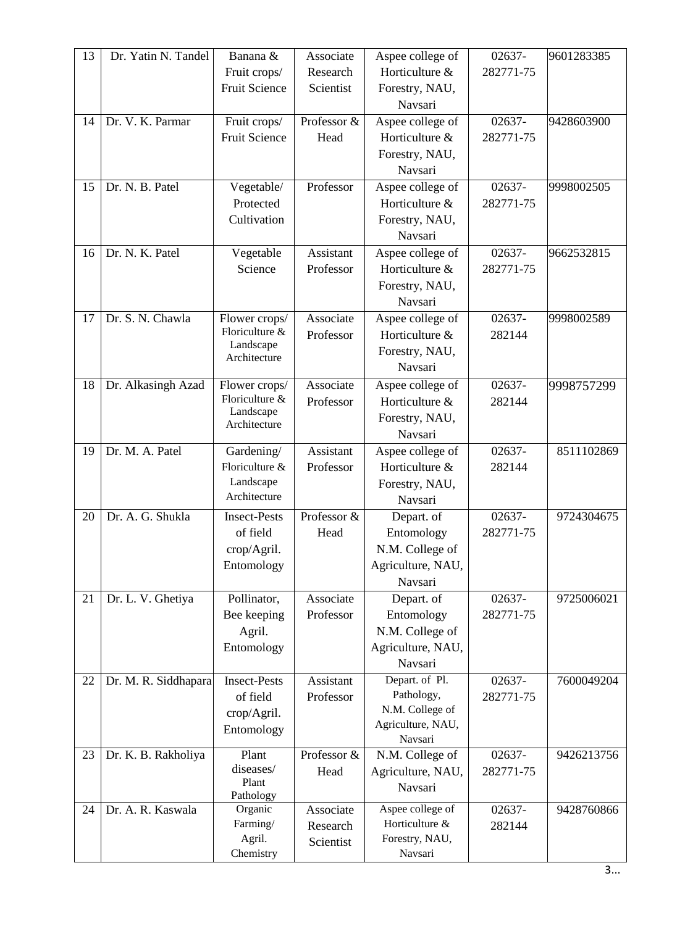| 13 | Dr. Yatin N. Tandel  | Banana &                  | Associate   | Aspee college of              | 02637-    | 9601283385 |
|----|----------------------|---------------------------|-------------|-------------------------------|-----------|------------|
|    |                      | Fruit crops/              | Research    | Horticulture &                | 282771-75 |            |
|    |                      | <b>Fruit Science</b>      | Scientist   | Forestry, NAU,                |           |            |
|    |                      |                           |             | Navsari                       |           |            |
| 14 | Dr. V. K. Parmar     | Fruit crops/              | Professor & | Aspee college of              | 02637-    | 9428603900 |
|    |                      | Fruit Science             | Head        | Horticulture &                | 282771-75 |            |
|    |                      |                           |             | Forestry, NAU,                |           |            |
|    |                      |                           |             | Navsari                       |           |            |
| 15 | Dr. N. B. Patel      | Vegetable/                | Professor   | Aspee college of              | 02637-    | 9998002505 |
|    |                      | Protected                 |             | Horticulture &                | 282771-75 |            |
|    |                      | Cultivation               |             | Forestry, NAU,                |           |            |
|    |                      |                           |             | Navsari                       |           |            |
| 16 | Dr. N. K. Patel      | Vegetable                 | Assistant   | Aspee college of              | 02637-    | 9662532815 |
|    |                      | Science                   | Professor   | Horticulture &                | 282771-75 |            |
|    |                      |                           |             | Forestry, NAU,                |           |            |
|    |                      |                           |             | Navsari                       |           |            |
| 17 | Dr. S. N. Chawla     | Flower crops/             | Associate   | Aspee college of              | 02637-    | 9998002589 |
|    |                      | Floriculture &            | Professor   | Horticulture &                | 282144    |            |
|    |                      | Landscape<br>Architecture |             | Forestry, NAU,                |           |            |
|    |                      |                           |             | Navsari                       |           |            |
| 18 | Dr. Alkasingh Azad   | Flower crops/             | Associate   | Aspee college of              | 02637-    | 9998757299 |
|    |                      | Floriculture &            | Professor   | Horticulture &                | 282144    |            |
|    |                      | Landscape<br>Architecture |             | Forestry, NAU,                |           |            |
|    |                      |                           |             | Navsari                       |           |            |
| 19 | Dr. M. A. Patel      | Gardening/                | Assistant   | Aspee college of              | 02637-    | 8511102869 |
|    |                      | Floriculture &            | Professor   | Horticulture &                | 282144    |            |
|    |                      | Landscape                 |             | Forestry, NAU,                |           |            |
|    |                      | Architecture              |             | Navsari                       |           |            |
| 20 | Dr. A. G. Shukla     | <b>Insect-Pests</b>       | Professor & | Depart. of                    | 02637-    | 9724304675 |
|    |                      | of field                  | Head        | Entomology                    | 282771-75 |            |
|    |                      | crop/Agril.               |             | N.M. College of               |           |            |
|    |                      | Entomology                |             | Agriculture, NAU,             |           |            |
|    |                      |                           |             | Navsari                       |           |            |
| 21 | Dr. L. V. Ghetiya    | Pollinator,               | Associate   | Depart. of                    | 02637-    | 9725006021 |
|    |                      | Bee keeping               | Professor   | Entomology                    | 282771-75 |            |
|    |                      | Agril.                    |             | N.M. College of               |           |            |
|    |                      | Entomology                |             | Agriculture, NAU,             |           |            |
|    |                      |                           |             | Navsari                       |           |            |
| 22 | Dr. M. R. Siddhapara | <b>Insect-Pests</b>       | Assistant   | Depart. of Pl.                | 02637-    | 7600049204 |
|    |                      | of field                  | Professor   | Pathology,<br>N.M. College of | 282771-75 |            |
|    |                      | crop/Agril.               |             | Agriculture, NAU,             |           |            |
|    |                      | Entomology                |             | Navsari                       |           |            |
| 23 | Dr. K. B. Rakholiya  | Plant                     | Professor & | N.M. College of               | 02637-    | 9426213756 |
|    |                      | diseases/                 | Head        | Agriculture, NAU,             | 282771-75 |            |
|    |                      | Plant                     |             | Navsari                       |           |            |
| 24 | Dr. A. R. Kaswala    | Pathology<br>Organic      | Associate   | Aspee college of              | 02637-    | 9428760866 |
|    |                      | Farming/                  | Research    | Horticulture &                | 282144    |            |
|    |                      | Agril.                    | Scientist   | Forestry, NAU,                |           |            |
|    |                      | Chemistry                 |             | Navsari                       |           |            |